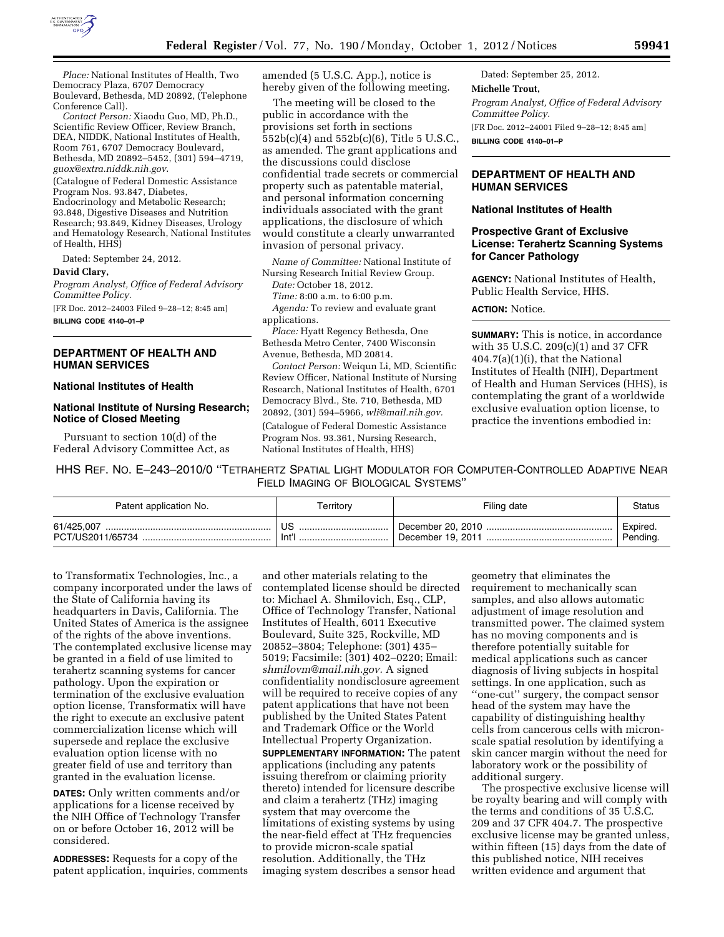

*Place:* National Institutes of Health, Two Democracy Plaza, 6707 Democracy Boulevard, Bethesda, MD 20892, (Telephone Conference Call).

*Contact Person:* Xiaodu Guo, MD, Ph.D., Scientific Review Officer, Review Branch, DEA, NIDDK, National Institutes of Health, Room 761, 6707 Democracy Boulevard, Bethesda, MD 20892–5452, (301) 594–4719, *[guox@extra.niddk.nih.gov](mailto:guox@extra.niddk.nih.gov)*.

(Catalogue of Federal Domestic Assistance Program Nos. 93.847, Diabetes, Endocrinology and Metabolic Research; 93.848, Digestive Diseases and Nutrition Research; 93.849, Kidney Diseases, Urology and Hematology Research, National Institutes of Health, HHS)

Dated: September 24, 2012.

### **David Clary,**

*Program Analyst, Office of Federal Advisory Committee Policy.* 

[FR Doc. 2012–24003 Filed 9–28–12; 8:45 am] **BILLING CODE 4140–01–P** 

## **DEPARTMENT OF HEALTH AND HUMAN SERVICES**

#### **National Institutes of Health**

# **National Institute of Nursing Research; Notice of Closed Meeting**

Pursuant to section 10(d) of the Federal Advisory Committee Act, as amended (5 U.S.C. App.), notice is hereby given of the following meeting.

The meeting will be closed to the public in accordance with the provisions set forth in sections 552b(c)(4) and 552b(c)(6), Title 5 U.S.C., as amended. The grant applications and the discussions could disclose confidential trade secrets or commercial property such as patentable material, and personal information concerning individuals associated with the grant applications, the disclosure of which would constitute a clearly unwarranted invasion of personal privacy.

*Name of Committee:* National Institute of Nursing Research Initial Review Group.

*Date:* October 18, 2012.

*Time:* 8:00 a.m. to 6:00 p.m. *Agenda:* To review and evaluate grant applications.

*Place:* Hyatt Regency Bethesda, One Bethesda Metro Center, 7400 Wisconsin Avenue, Bethesda, MD 20814.

*Contact Person:* Weiqun Li, MD, Scientific Review Officer, National Institute of Nursing Research, National Institutes of Health, 6701 Democracy Blvd., Ste. 710, Bethesda, MD 20892, (301) 594–5966, *[wli@mail.nih.gov.](mailto:wli@mail.nih.gov)*  (Catalogue of Federal Domestic Assistance Program Nos. 93.361, Nursing Research, National Institutes of Health, HHS)

Dated: September 25, 2012. **Michelle Trout,**  *Program Analyst, Office of Federal Advisory Committee Policy.*  [FR Doc. 2012–24001 Filed 9–28–12; 8:45 am] **BILLING CODE 4140–01–P** 

# **DEPARTMENT OF HEALTH AND HUMAN SERVICES**

### **National Institutes of Health**

### **Prospective Grant of Exclusive License: Terahertz Scanning Systems for Cancer Pathology**

**AGENCY:** National Institutes of Health, Public Health Service, HHS.

### **ACTION:** Notice.

**SUMMARY:** This is notice, in accordance with 35 U.S.C. 209(c)(1) and 37 CFR 404.7(a)(1)(i), that the National Institutes of Health (NIH), Department of Health and Human Services (HHS), is contemplating the grant of a worldwide exclusive evaluation option license, to practice the inventions embodied in:

HHS REF. NO. E–243–2010/0 ''TETRAHERTZ SPATIAL LIGHT MODULATOR FOR COMPUTER-CONTROLLED ADAPTIVE NEAR FIELD IMAGING OF BIOLOGICAL SYSTEMS''

| Patent application No. | rerritory | Filing date       | Status   |
|------------------------|-----------|-------------------|----------|
| 61/425.007             | US        | December 20, 2010 | Expired. |
| PCT/US2011/65734       | . Int''   | December 19, 2011 | Pending. |

to Transformatix Technologies, Inc., a company incorporated under the laws of the State of California having its headquarters in Davis, California. The United States of America is the assignee of the rights of the above inventions. The contemplated exclusive license may be granted in a field of use limited to terahertz scanning systems for cancer pathology. Upon the expiration or termination of the exclusive evaluation option license, Transformatix will have the right to execute an exclusive patent commercialization license which will supersede and replace the exclusive evaluation option license with no greater field of use and territory than granted in the evaluation license.

**DATES:** Only written comments and/or applications for a license received by the NIH Office of Technology Transfer on or before October 16, 2012 will be considered.

**ADDRESSES:** Requests for a copy of the patent application, inquiries, comments

and other materials relating to the contemplated license should be directed to: Michael A. Shmilovich, Esq., CLP, Office of Technology Transfer, National Institutes of Health, 6011 Executive Boulevard, Suite 325, Rockville, MD 20852–3804; Telephone: (301) 435– 5019; Facsimile: (301) 402–0220; Email: *[shmilovm@mail.nih.gov.](mailto:shmilovm@mail.nih.gov)* A signed confidentiality nondisclosure agreement will be required to receive copies of any patent applications that have not been published by the United States Patent and Trademark Office or the World Intellectual Property Organization. **SUPPLEMENTARY INFORMATION:** The patent applications (including any patents issuing therefrom or claiming priority thereto) intended for licensure describe and claim a terahertz (THz) imaging system that may overcome the limitations of existing systems by using the near-field effect at THz frequencies to provide micron-scale spatial resolution. Additionally, the THz imaging system describes a sensor head

geometry that eliminates the requirement to mechanically scan samples, and also allows automatic adjustment of image resolution and transmitted power. The claimed system has no moving components and is therefore potentially suitable for medical applications such as cancer diagnosis of living subjects in hospital settings. In one application, such as ''one-cut'' surgery, the compact sensor head of the system may have the capability of distinguishing healthy cells from cancerous cells with micronscale spatial resolution by identifying a skin cancer margin without the need for laboratory work or the possibility of additional surgery.

The prospective exclusive license will be royalty bearing and will comply with the terms and conditions of 35 U.S.C. 209 and 37 CFR 404.7. The prospective exclusive license may be granted unless, within fifteen (15) days from the date of this published notice, NIH receives written evidence and argument that